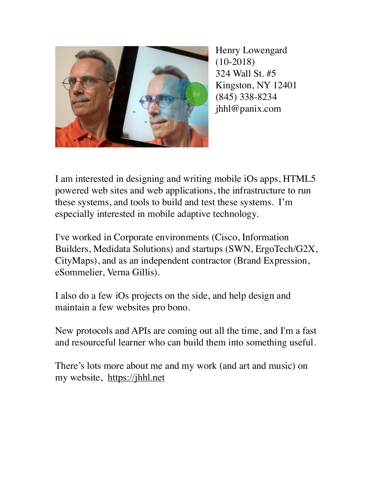

Henry Lowengard (10-2018) 324 Wall St. #5 Kingston, NY 12401 (845) 338-8234 jhhl@panix.com

I am interested in designing and writing mobile iOs apps, HTML5 powered web sites and web applications, the infrastructure to run these systems, and tools to build and test these systems. I'm especially interested in mobile adaptive technology.

I've worked in Corporate environments (Cisco, Information Builders, Medidata Solutions) and startups (SWN, ErgoTech/G2X, CityMaps), and as an independent contractor (Brand Expression, eSommelier, Verna Gillis).

I also do a few iOs projects on the side, and help design and maintain a few websites pro bono.

New protocols and APIs are coming out all the time, and I'm a fast and resourceful learner who can build them into something useful.

There's lots more about me and my work (and art and music) on my website, <https://jhhl.net>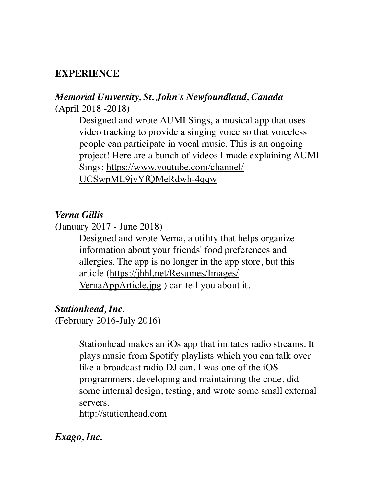### **EXPERIENCE**

### *Memorial University, St. John's Newfoundland, Canada*  (April 2018 -2018)

Designed and wrote AUMI Sings, a musical app that uses video tracking to provide a singing voice so that voiceless people can participate in vocal music. This is an ongoing project! Here are a bunch of videos I made explaining AUMI Sings: [https://www.youtube.com/channel/](https://www.youtube.com/channel/UCSwpML9jyYfQMeRdwh-4qqw) [UCSwpML9jyYfQMeRdwh-4qqw](https://www.youtube.com/channel/UCSwpML9jyYfQMeRdwh-4qqw)

#### *Verna Gillis*

(January 2017 - June 2018)

Designed and wrote Verna, a utility that helps organize information about your friends' food preferences and allergies. The app is no longer in the app store, but this article ([https://jhhl.net/Resumes/Images/](https://jhhl.net/Resumes/Images/VernaAppArticle.jpg) [VernaAppArticle.jpg](https://jhhl.net/Resumes/Images/VernaAppArticle.jpg) ) can tell you about it.

#### *Stationhead, Inc.*

(February 2016-July 2016)

Stationhead makes an iOs app that imitates radio streams. It plays music from Spotify playlists which you can talk over like a broadcast radio DJ can. I was one of the iOS programmers, developing and maintaining the code, did some internal design, testing, and wrote some small external servers.

<http://stationhead.com>

#### *Exago, Inc.*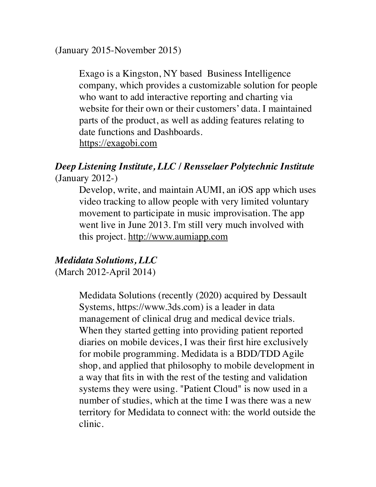(January 2015-November 2015)

Exago is a Kingston, NY based Business Intelligence company, which provides a customizable solution for people who want to add interactive reporting and charting via website for their own or their customers' data. I maintained parts of the product, as well as adding features relating to date functions and Dashboards. <https://exagobi.com>

### *Deep Listening Institute, LLC / Rensselaer Polytechnic Institute*  (January 2012-)

Develop, write, and maintain AUMI, an iOS app which uses video tracking to allow people with very limited voluntary movement to participate in music improvisation. The app went live in June 2013. I'm still very much involved with this project. <http://www.aumiapp.com>

# *Medidata Solutions, LLC*

(March 2012-April 2014)

Medidata Solutions (recently (2020) acquired by Dessault Systems, https://www.3ds.com) is a leader in data management of clinical drug and medical device trials. When they started getting into providing patient reported diaries on mobile devices, I was their first hire exclusively for mobile programming. Medidata is a BDD/TDD Agile shop, and applied that philosophy to mobile development in a way that fits in with the rest of the testing and validation systems they were using. "Patient Cloud" is now used in a number of studies, which at the time I was there was a new territory for Medidata to connect with: the world outside the clinic.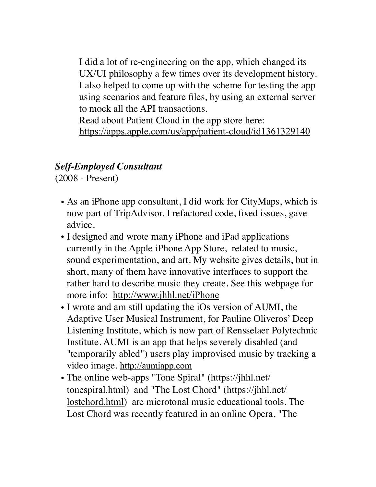I did a lot of re-engineering on the app, which changed its UX/UI philosophy a few times over its development history. I also helped to come up with the scheme for testing the app using scenarios and feature files, by using an external server to mock all the API transactions.

Read about Patient Cloud in the app store here: <https://apps.apple.com/us/app/patient-cloud/id1361329140>

## *Self-Employed Consultant*

(2008 - Present)

- As an iPhone app consultant, I did work for CityMaps, which is now part of TripAdvisor. I refactored code, fixed issues, gave advice.
- I designed and wrote many iPhone and iPad applications currently in the Apple iPhone App Store, related to music, sound experimentation, and art. My website gives details, but in short, many of them have innovative interfaces to support the rather hard to describe music they create. See this webpage for more info: <http://www.jhhl.net/iPhone>
- I wrote and am still updating the iOs version of AUMI, the Adaptive User Musical Instrument, for Pauline Oliveros' Deep Listening Institute, which is now part of Rensselaer Polytechnic Institute. AUMI is an app that helps severely disabled (and "temporarily abled") users play improvised music by tracking a video image. <http://aumiapp.com>
- The online web-apps "Tone Spiral" ([https://jhhl.net/](https://jhhl.net/tonespiral.html) [tonespiral.html](https://jhhl.net/tonespiral.html)) and "The Lost Chord" ([https://jhhl.net/](https://jhhl.net/lostchord.html) [lostchord.html](https://jhhl.net/lostchord.html)) are microtonal music educational tools. The Lost Chord was recently featured in an online Opera, "The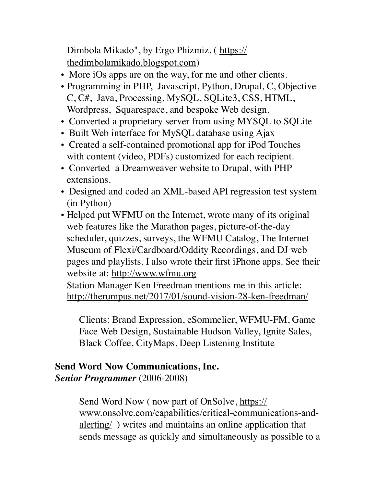Dimbola Mikado", by Ergo Phizmiz. ( [https://](https://thedimbolamikado.blogspot.com) [thedimbolamikado.blogspot.com](https://thedimbolamikado.blogspot.com))

- More iOs apps are on the way, for me and other clients.
- Programming in PHP, Javascript, Python, Drupal, C, Objective C, C#, Java, Processing, MySQL, SQLite3, CSS, HTML, Wordpress, Squarespace, and bespoke Web design.
- Converted a proprietary server from using MYSQL to SQLite
- Built Web interface for MySQL database using Ajax
- Created a self-contained promotional app for iPod Touches with content (video, PDFs) customized for each recipient.
- Converted a Dreamweaver website to Drupal, with PHP extensions.
- Designed and coded an XML-based API regression test system (in Python)
- Helped put WFMU on the Internet, wrote many of its original web features like the Marathon pages, picture-of-the-day scheduler, quizzes, surveys, the WFMU Catalog, The Internet Museum of Flexi/Cardboard/Oddity Recordings, and DJ web pages and playlists. I also wrote their first iPhone apps. See their website at: <http://www.wfmu.org>

Station Manager Ken Freedman mentions me in this article: <http://therumpus.net/2017/01/sound-vision-28-ken-freedman/>

Clients: Brand Expression, eSommelier, WFMU-FM, Game Face Web Design, Sustainable Hudson Valley, Ignite Sales, Black Coffee, CityMaps, Deep Listening Institute

### **Send Word Now Communications, Inc.**  *Senior Programmer* (2006-2008)

Send Word Now ( now part of OnSolve, [https://](https://www.onsolve.com/capabilities/critical-communications-and-alerting/) [www.onsolve.com/capabilities/critical-communications-and](https://www.onsolve.com/capabilities/critical-communications-and-alerting/)[alerting/](https://www.onsolve.com/capabilities/critical-communications-and-alerting/) ) writes and maintains an online application that sends message as quickly and simultaneously as possible to a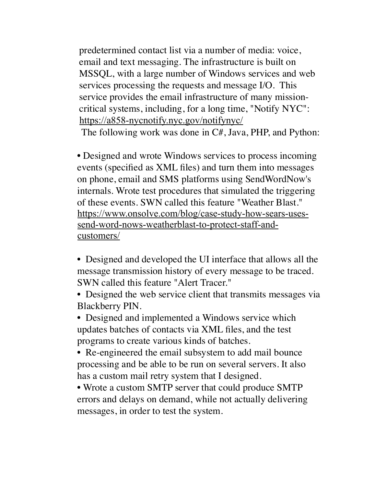predetermined contact list via a number of media: voice, email and text messaging. The infrastructure is built on MSSQL, with a large number of Windows services and web services processing the requests and message I/O. This service provides the email infrastructure of many missioncritical systems, including, for a long time, "Notify NYC": <https://a858-nycnotify.nyc.gov/notifynyc/>

The following work was done in C#, Java, PHP, and Python:

• Designed and wrote Windows services to process incoming events (specified as XML files) and turn them into messages on phone, email and SMS platforms using SendWordNow's internals. Wrote test procedures that simulated the triggering of these events. SWN called this feature "Weather Blast." [https://www.onsolve.com/blog/case-study-how-sears-uses](https://www.onsolve.com/blog/case-study-how-sears-uses-send-word-nows-weatherblast-to-protect-staff-and-customers/)[send-word-nows-weatherblast-to-protect-staff-and](https://www.onsolve.com/blog/case-study-how-sears-uses-send-word-nows-weatherblast-to-protect-staff-and-customers/)[customers/](https://www.onsolve.com/blog/case-study-how-sears-uses-send-word-nows-weatherblast-to-protect-staff-and-customers/)

- Designed and developed the UI interface that allows all the message transmission history of every message to be traced. SWN called this feature "Alert Tracer."
- Designed the web service client that transmits messages via Blackberry PIN.

• Designed and implemented a Windows service which updates batches of contacts via XML files, and the test programs to create various kinds of batches.

• Re-engineered the email subsystem to add mail bounce processing and be able to be run on several servers. It also has a custom mail retry system that I designed.

• Wrote a custom SMTP server that could produce SMTP errors and delays on demand, while not actually delivering messages, in order to test the system.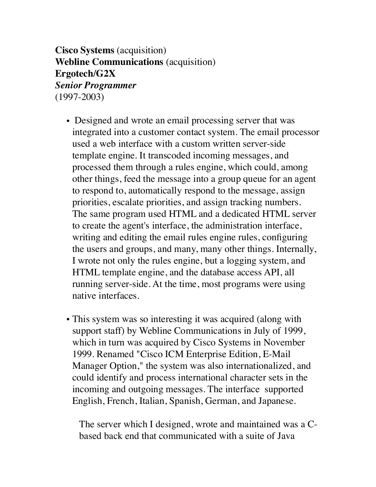**Cisco Systems** (acquisition) **Webline Communications** (acquisition) **Ergotech/G2X**  *Senior Programmer*  (1997-2003)

- Designed and wrote an email processing server that was integrated into a customer contact system. The email processor used a web interface with a custom written server-side template engine. It transcoded incoming messages, and processed them through a rules engine, which could, among other things, feed the message into a group queue for an agent to respond to, automatically respond to the message, assign priorities, escalate priorities, and assign tracking numbers. The same program used HTML and a dedicated HTML server to create the agent's interface, the administration interface, writing and editing the email rules engine rules, configuring the users and groups, and many, many other things. Internally, I wrote not only the rules engine, but a logging system, and HTML template engine, and the database access API, all running server-side. At the time, most programs were using native interfaces.
- This system was so interesting it was acquired (along with support staff) by Webline Communications in July of 1999, which in turn was acquired by Cisco Systems in November 1999. Renamed "Cisco ICM Enterprise Edition, E-Mail Manager Option," the system was also internationalized, and could identify and process international character sets in the incoming and outgoing messages. The interface supported English, French, Italian, Spanish, German, and Japanese.

The server which I designed, wrote and maintained was a Cbased back end that communicated with a suite of Java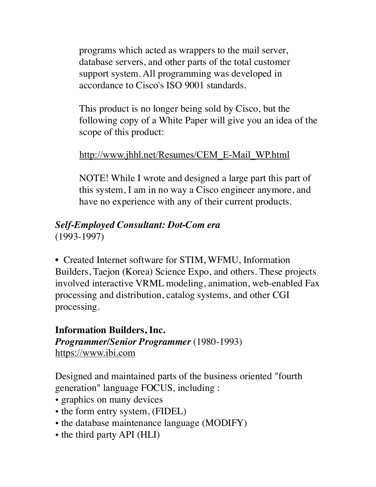programs which acted as wrappers to the mail server, database servers, and other parts of the total customer support system. All programming was developed in accordance to Cisco's ISO 9001 standards.

This product is no longer being sold by Cisco, but the following copy of a White Paper will give you an idea of the scope of this product:

## [http://www.jhhl.net/Resumes/CEM\\_E-Mail\\_WP.html](http://www.jhhl.net/Resumes/CEM_E-Mail_WP.html)

NOTE! While I wrote and designed a large part this part of this system, I am in no way a Cisco engineer anymore, and have no experience with any of their current products.

#### *Self-Employed Consultant: Dot-Com era*  (1993-1997)

• Created Internet software for STIM, WFMU, Information Builders, Taejon (Korea) Science Expo, and others. These projects involved interactive VRML modeling, animation, web-enabled Fax processing and distribution, catalog systems, and other CGI processing.

### **Information Builders, Inc.**  *Programmer/Senior Programmer* (1980-1993) <https://www.ibi.com>

Designed and maintained parts of the business oriented "fourth generation" language FOCUS, including :

- graphics on many devices
- the form entry system, (FIDEL)
- the database maintenance language (MODIFY)
- the third party API (HLI)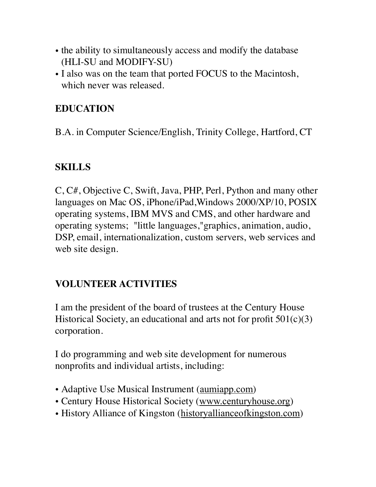- the ability to simultaneously access and modify the database (HLI-SU and MODIFY-SU)
- I also was on the team that ported FOCUS to the Macintosh, which never was released.

# **EDUCATION**

B.A. in Computer Science/English, Trinity College, Hartford, CT

# **SKILLS**

C, C#, Objective C, Swift, Java, PHP, Perl, Python and many other languages on Mac OS, iPhone/iPad,Windows 2000/XP/10, POSIX operating systems, IBM MVS and CMS, and other hardware and operating systems; "little languages,"graphics, animation, audio, DSP, email, internationalization, custom servers, web services and web site design.

# **VOLUNTEER ACTIVITIES**

I am the president of the board of trustees at the Century House Historical Society, an educational and arts not for profit 501(c)(3) corporation.

I do programming and web site development for numerous nonprofits and individual artists, including:

- Adaptive Use Musical Instrument (*[aumiapp.com](http://AUMIApp.com)*)
- Century House Historical Society ([www.centuryhouse.org](http://www.centuryhouse.org))
- History Alliance of Kingston ([historyallianceofkingston.com](http://historyallianceofkingston.com))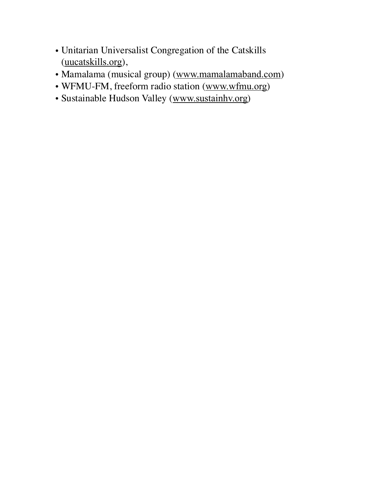- Unitarian Universalist Congregation of the Catskills ([uucatskills.org](http://uucatskills.org)),
- Mamalama (musical group) ([www.mamalamaband.com](http://www.mamalamaband.com))
- WFMU-FM, freeform radio station ([www.wfmu.org](http://www.wfmu.org))
- Sustainable Hudson Valley ([www.sustainhv.org](http://www.sustainhv.org))